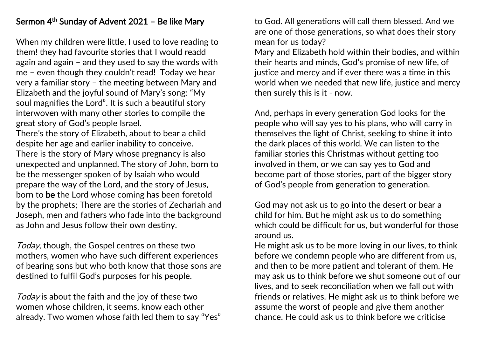## Sermon 4<sup>th</sup> Sunday of Advent 2021 – Be like Mary

When my children were little, I used to love reading to them! they had favourite stories that I would readd again and again – and they used to say the words with me – even though they couldn't read! Today we hear very a familiar story – the meeting between Mary and Elizabeth and the joyful sound of Mary's song: "My soul magnifies the Lord". It is such a beautiful story interwoven with many other stories to compile the great story of God's people Israel.

There's the story of Elizabeth, about to bear a child despite her age and earlier inability to conceive. There is the story of Mary whose pregnancy is also unexpected and unplanned. The story of John, born to be the messenger spoken of by Isaiah who would prepare the way of the Lord, and the story of Jesus, born to be the Lord whose coming has been foretold by the prophets; There are the stories of Zechariah and Joseph, men and fathers who fade into the background as John and Jesus follow their own destiny.

Today, though, the Gospel centres on these two mothers, women who have such different experiences of bearing sons but who both know that those sons are destined to fulfil God's purposes for his people.

Today is about the faith and the joy of these two women whose children, it seems, know each other already. Two women whose faith led them to say "Yes" to God. All generations will call them blessed. And we are one of those generations, so what does their story mean for us today?

Mary and Elizabeth hold within their bodies, and within their hearts and minds, God's promise of new life, of justice and mercy and if ever there was a time in this world when we needed that new life, justice and mercy then surely this is it - now.

And, perhaps in every generation God looks for the people who will say yes to his plans, who will carry in themselves the light of Christ, seeking to shine it into the dark places of this world. We can listen to the familiar stories this Christmas without getting too involved in them, or we can say yes to God and become part of those stories, part of the bigger story of God's people from generation to generation.

God may not ask us to go into the desert or bear a child for him. But he might ask us to do something which could be difficult for us, but wonderful for those around us.

He might ask us to be more loving in our lives, to think before we condemn people who are different from us, and then to be more patient and tolerant of them. He may ask us to think before we shut someone out of our lives, and to seek reconciliation when we fall out with friends or relatives. He might ask us to think before we assume the worst of people and give them another chance. He could ask us to think before we criticise